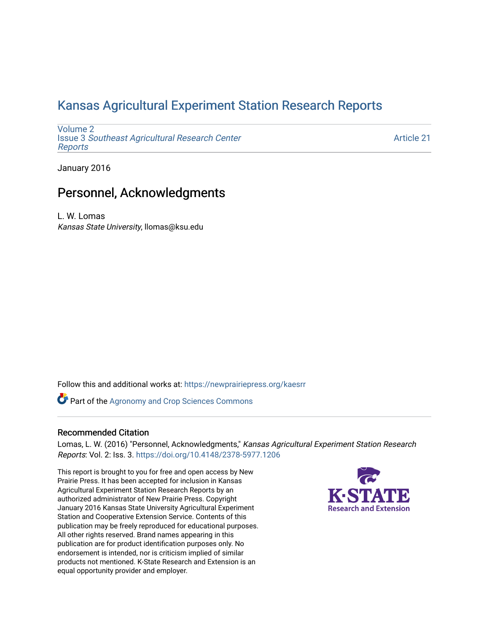## [Kansas Agricultural Experiment Station Research Reports](https://newprairiepress.org/kaesrr)

[Volume 2](https://newprairiepress.org/kaesrr/vol2) Issue 3 [Southeast Agricultural Research Center](https://newprairiepress.org/kaesrr/vol2/iss3) [Reports](https://newprairiepress.org/kaesrr/vol2/iss3)

[Article 21](https://newprairiepress.org/kaesrr/vol2/iss3/21) 

January 2016

## Personnel, Acknowledgments

L. W. Lomas Kansas State University, llomas@ksu.edu

Follow this and additional works at: [https://newprairiepress.org/kaesrr](https://newprairiepress.org/kaesrr?utm_source=newprairiepress.org%2Fkaesrr%2Fvol2%2Fiss3%2F21&utm_medium=PDF&utm_campaign=PDFCoverPages) 

**Part of the Agronomy and Crop Sciences Commons** 

#### Recommended Citation

Lomas, L. W. (2016) "Personnel, Acknowledgments," Kansas Agricultural Experiment Station Research Reports: Vol. 2: Iss. 3.<https://doi.org/10.4148/2378-5977.1206>

This report is brought to you for free and open access by New Prairie Press. It has been accepted for inclusion in Kansas Agricultural Experiment Station Research Reports by an authorized administrator of New Prairie Press. Copyright January 2016 Kansas State University Agricultural Experiment Station and Cooperative Extension Service. Contents of this publication may be freely reproduced for educational purposes. All other rights reserved. Brand names appearing in this publication are for product identification purposes only. No endorsement is intended, nor is criticism implied of similar products not mentioned. K-State Research and Extension is an equal opportunity provider and employer.

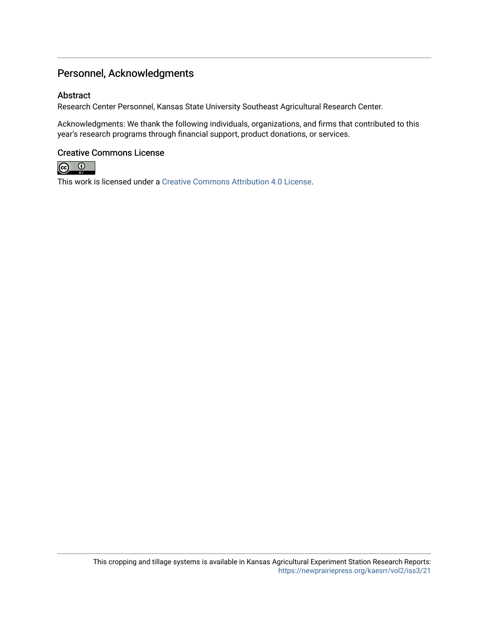### Personnel, Acknowledgments

#### Abstract

Research Center Personnel, Kansas State University Southeast Agricultural Research Center.

Acknowledgments: We thank the following individuals, organizations, and firms that contributed to this year's research programs through financial support, product donations, or services.

#### Creative Commons License



This work is licensed under a [Creative Commons Attribution 4.0 License](https://creativecommons.org/licenses/by/4.0/).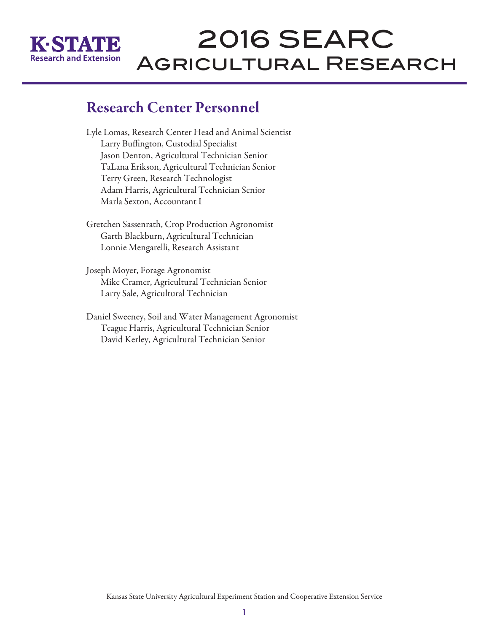

# 2016 SEARC Agricultural Research

# Research Center Personnel

Lyle Lomas, Research Center Head and Animal Scientist Larry Buffington, Custodial Specialist Jason Denton, Agricultural Technician Senior TaLana Erikson, Agricultural Technician Senior Terry Green, Research Technologist Adam Harris, Agricultural Technician Senior Marla Sexton, Accountant I

Gretchen Sassenrath, Crop Production Agronomist Garth Blackburn, Agricultural Technician Lonnie Mengarelli, Research Assistant

Joseph Moyer, Forage Agronomist Mike Cramer, Agricultural Technician Senior Larry Sale, Agricultural Technician

Daniel Sweeney, Soil and Water Management Agronomist Teague Harris, Agricultural Technician Senior David Kerley, Agricultural Technician Senior